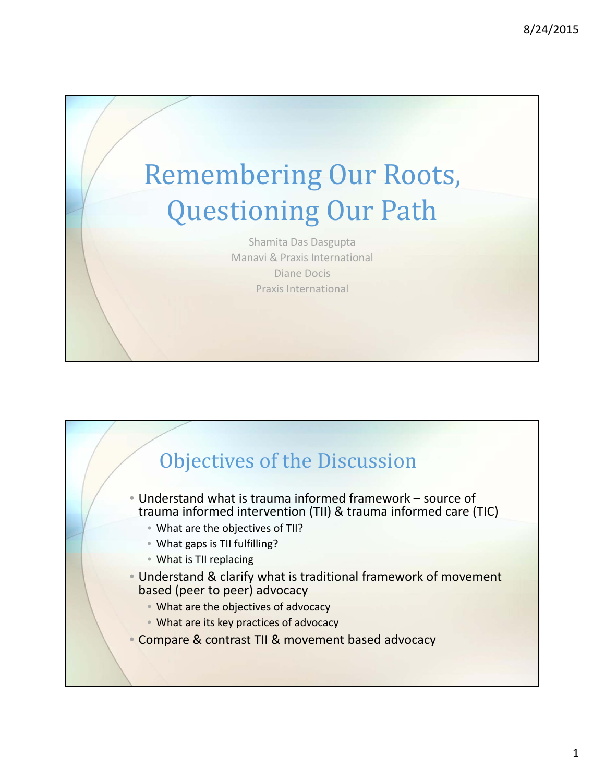

Shamita Das Dasgupta Manavi & Praxis International Diane Docis Praxis International

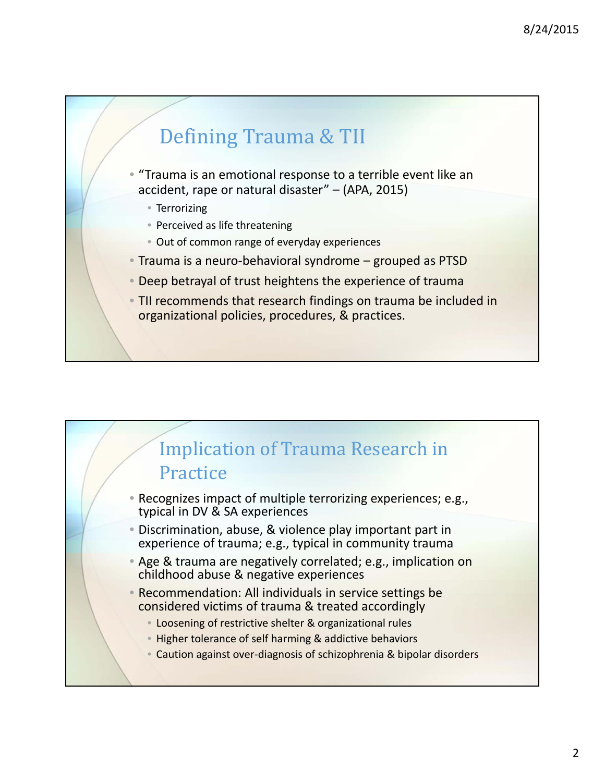

- "Trauma is an emotional response to a terrible event like an accident, rape or natural disaster" – (APA, 2015)
	- Terrorizing
	- Perceived as life threatening
	- Out of common range of everyday experiences
- Trauma is a neuro‐behavioral syndrome grouped as PTSD
- Deep betrayal of trust heightens the experience of trauma
- TII recommends that research findings on trauma be included in organizational policies, procedures, & practices.

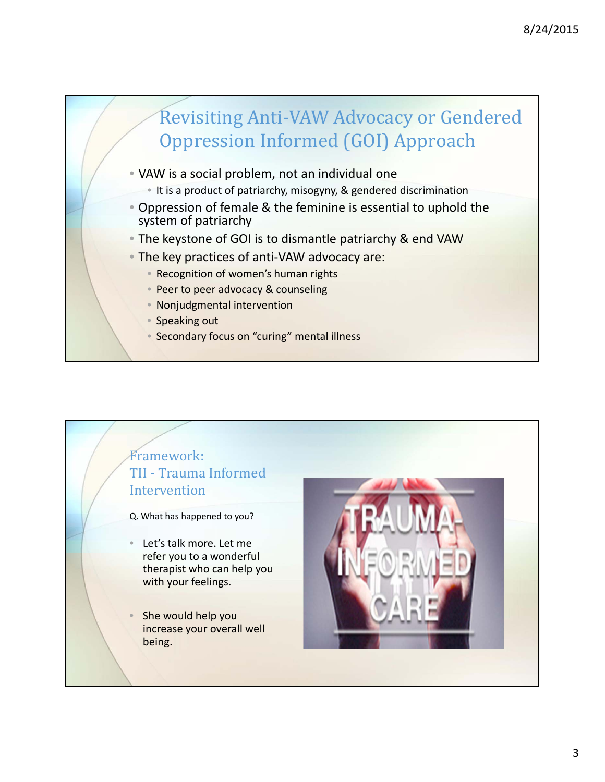

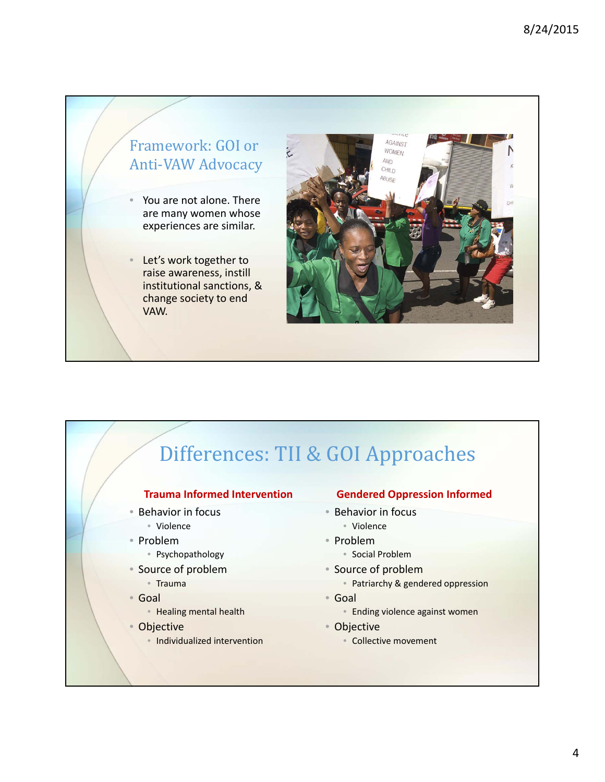

Let's work together to raise awareness, instill institutional sanctions, & change society to end VAW.



# Differences: TII & GOI Approaches

#### **Trauma Informed Intervention**

- Behavior in focus
	- Violence
- Problem
	- Psychopathology
- Source of problem
- Trauma
- Goal
	- Healing mental health
- Objective
	- Individualized intervention

### **Gendered Oppression Informed**

- Behavior in focus
	- Violence
- Problem
	- Social Problem
- Source of problem
	- Patriarchy & gendered oppression
- Goal
	- Ending violence against women
- Objective
	- Collective movement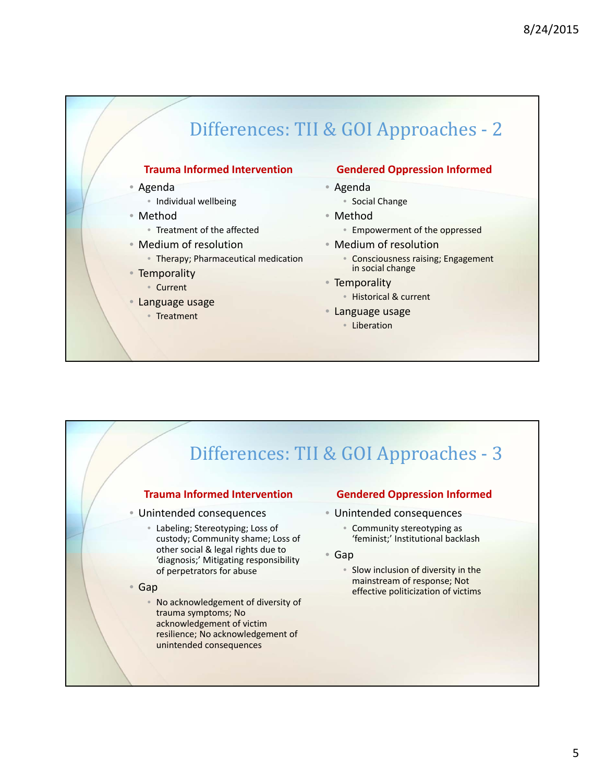# Differences: TII & GOI Approaches - 2

#### **Trauma Informed Intervention**

- Agenda
	- Individual wellbeing
- Method
	- Treatment of the affected
- Medium of resolution
- Therapy; Pharmaceutical medication
- Temporality
	- Current
- Language usage
	- Treatment

#### **Gendered Oppression Informed**

- Agenda
	- Social Change
- Method
	- Empowerment of the oppressed
- Medium of resolution
	- Consciousness raising; Engagement in social change
- Temporality • Historical & current
- Language usage
	- Liberation

## Differences: TII & GOI Approaches - 3

#### **Trauma Informed Intervention**

- Unintended consequences
	- Labeling; Stereotyping; Loss of custody; Community shame; Loss of other social & legal rights due to 'diagnosis;' Mitigating responsibility of perpetrators for abuse
- Gap
	- No acknowledgement of diversity of trauma symptoms; No acknowledgement of victim resilience; No acknowledgement of unintended consequences

### **Gendered Oppression Informed**

- Unintended consequences
	- Community stereotyping as 'feminist;' Institutional backlash
- Gap
	- Slow inclusion of diversity in the mainstream of response; Not effective politicization of victims